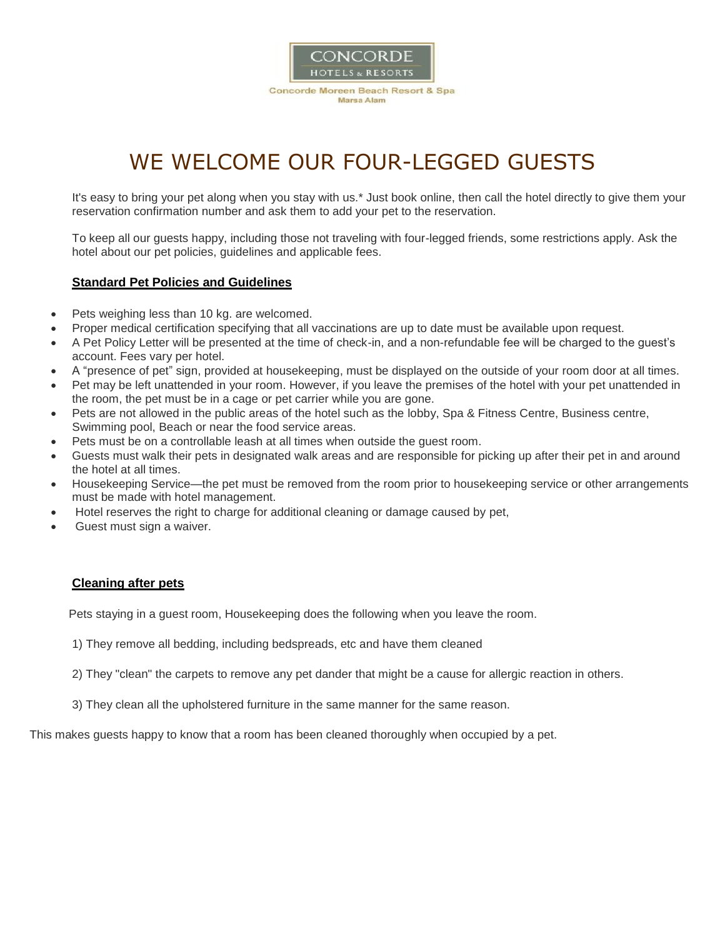

# WE WELCOME OUR FOUR-LEGGED GUESTS

It's easy to bring your pet along when you stay with us.\* Just book online, then call the hotel directly to give them your reservation confirmation number and ask them to add your pet to the reservation.

To keep all our guests happy, including those not traveling with four-legged friends, some restrictions apply. Ask the hotel about our pet policies, guidelines and applicable fees.

#### **Standard Pet Policies and Guidelines**

- Pets weighing less than 10 kg. are welcomed.
- Proper medical certification specifying that all vaccinations are up to date must be available upon request.
- A Pet Policy Letter will be presented at the time of check-in, and a non-refundable fee will be charged to the guest's account. Fees vary per hotel.
- A "presence of pet" sign, provided at housekeeping, must be displayed on the outside of your room door at all times.
- Pet may be left unattended in your room. However, if you leave the premises of the hotel with your pet unattended in the room, the pet must be in a cage or pet carrier while you are gone.
- Pets are not allowed in the public areas of the hotel such as the lobby, Spa & Fitness Centre, Business centre, Swimming pool, Beach or near the food service areas.
- Pets must be on a controllable leash at all times when outside the guest room.
- Guests must walk their pets in designated walk areas and are responsible for picking up after their pet in and around the hotel at all times.
- Housekeeping Service—the pet must be removed from the room prior to housekeeping service or other arrangements must be made with hotel management.
- Hotel reserves the right to charge for additional cleaning or damage caused by pet,
- Guest must sign a waiver.

#### **Cleaning after pets**

Pets staying in a guest room, Housekeeping does the following when you leave the room.

- 1) They remove all bedding, including bedspreads, etc and have them cleaned
- 2) They "clean" the carpets to remove any pet dander that might be a cause for allergic reaction in others.
- 3) They clean all the upholstered furniture in the same manner for the same reason.

This makes guests happy to know that a room has been cleaned thoroughly when occupied by a pet.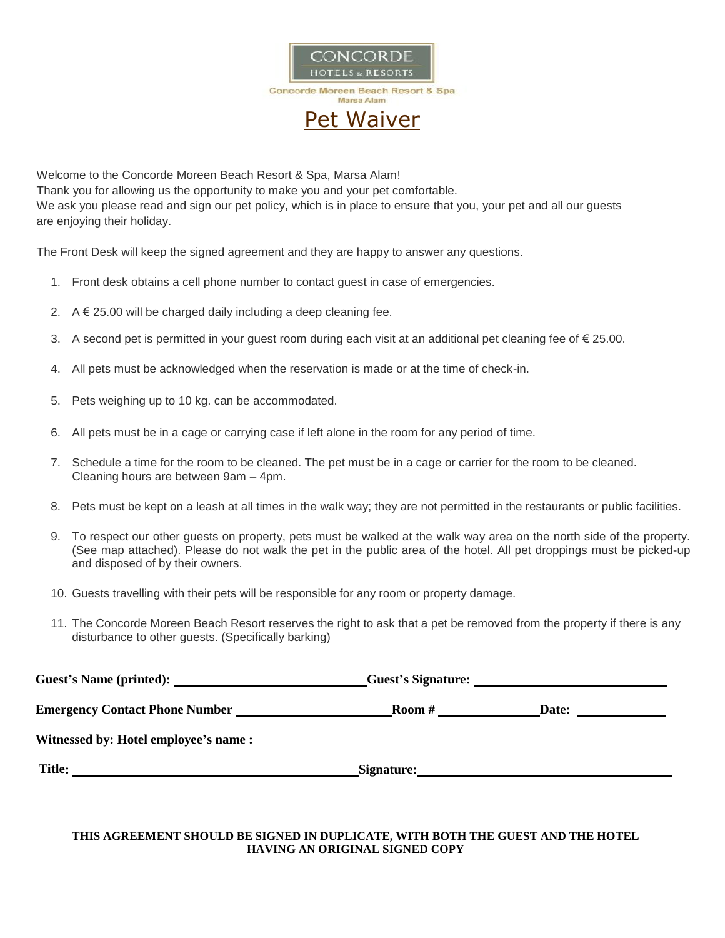

Welcome to the Concorde Moreen Beach Resort & Spa, Marsa Alam! Thank you for allowing us the opportunity to make you and your pet comfortable. We ask you please read and sign our pet policy, which is in place to ensure that you, your pet and all our quests are enjoying their holiday.

The Front Desk will keep the signed agreement and they are happy to answer any questions.

- 1. Front desk obtains a cell phone number to contact guest in case of emergencies.
- 2.  $A \notin 25.00$  will be charged daily including a deep cleaning fee.
- 3. A second pet is permitted in your guest room during each visit at an additional pet cleaning fee of € 25.00.
- 4. All pets must be acknowledged when the reservation is made or at the time of check-in.
- 5. Pets weighing up to 10 kg. can be accommodated.
- 6. All pets must be in a cage or carrying case if left alone in the room for any period of time.
- 7. Schedule a time for the room to be cleaned. The pet must be in a cage or carrier for the room to be cleaned. Cleaning hours are between 9am – 4pm.
- 8. Pets must be kept on a leash at all times in the walk way; they are not permitted in the restaurants or public facilities.
- 9. To respect our other guests on property, pets must be walked at the walk way area on the north side of the property. (See map attached). Please do not walk the pet in the public area of the hotel. All pet droppings must be picked-up and disposed of by their owners.
- 10. Guests travelling with their pets will be responsible for any room or property damage.
- 11. The Concorde Moreen Beach Resort reserves the right to ask that a pet be removed from the property if there is any disturbance to other guests. (Specifically barking)

| Guest's Name (printed):               | Guest's Signature: |                               |  |
|---------------------------------------|--------------------|-------------------------------|--|
| <b>Emergency Contact Phone Number</b> | Room #             | Date:<br><u>and the state</u> |  |
| Witnessed by: Hotel employee's name:  |                    |                               |  |
| <b>Title:</b>                         | Signature:         |                               |  |

#### **THIS AGREEMENT SHOULD BE SIGNED IN DUPLICATE, WITH BOTH THE GUEST AND THE HOTEL HAVING AN ORIGINAL SIGNED COPY**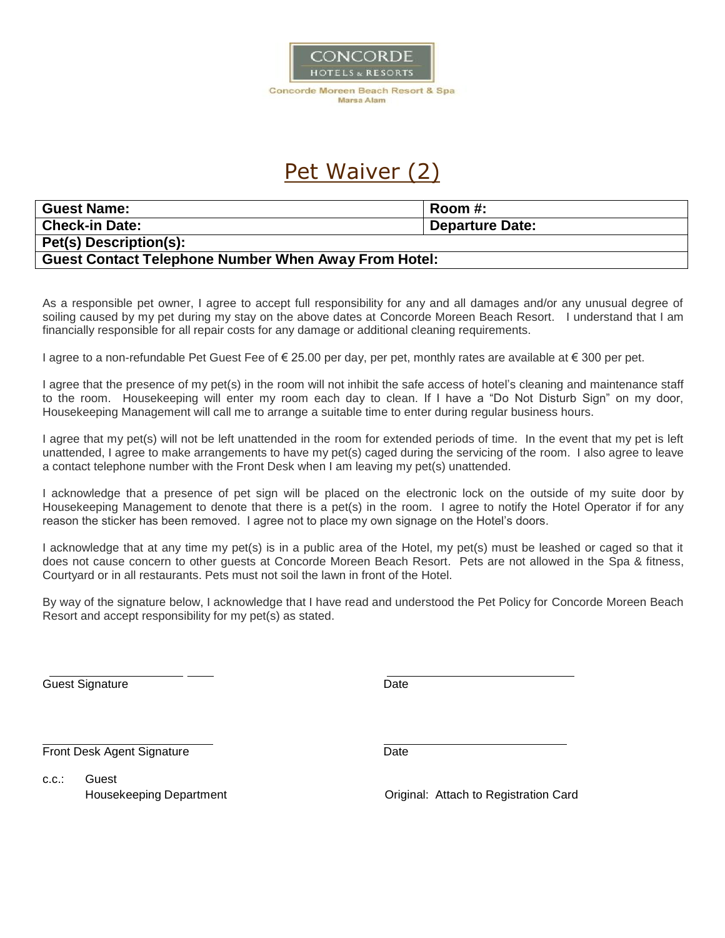

## Pet Waiver (2)

| <b>Guest Name:</b>                                          | Room #:                |  |
|-------------------------------------------------------------|------------------------|--|
| <b>Check-in Date:</b>                                       | <b>Departure Date:</b> |  |
| Pet(s) Description(s):                                      |                        |  |
| <b>Guest Contact Telephone Number When Away From Hotel:</b> |                        |  |

As a responsible pet owner, I agree to accept full responsibility for any and all damages and/or any unusual degree of soiling caused by my pet during my stay on the above dates at Concorde Moreen Beach Resort. I understand that I am financially responsible for all repair costs for any damage or additional cleaning requirements.

I agree to a non-refundable Pet Guest Fee of € 25.00 per day, per pet, monthly rates are available at € 300 per pet.

I agree that the presence of my pet(s) in the room will not inhibit the safe access of hotel's cleaning and maintenance staff to the room. Housekeeping will enter my room each day to clean. If I have a "Do Not Disturb Sign" on my door, Housekeeping Management will call me to arrange a suitable time to enter during regular business hours.

I agree that my pet(s) will not be left unattended in the room for extended periods of time. In the event that my pet is left unattended, I agree to make arrangements to have my pet(s) caged during the servicing of the room. I also agree to leave a contact telephone number with the Front Desk when I am leaving my pet(s) unattended.

I acknowledge that a presence of pet sign will be placed on the electronic lock on the outside of my suite door by Housekeeping Management to denote that there is a pet(s) in the room. I agree to notify the Hotel Operator if for any reason the sticker has been removed. I agree not to place my own signage on the Hotel's doors.

I acknowledge that at any time my pet(s) is in a public area of the Hotel, my pet(s) must be leashed or caged so that it does not cause concern to other guests at Concorde Moreen Beach Resort. Pets are not allowed in the Spa & fitness, Courtyard or in all restaurants. Pets must not soil the lawn in front of the Hotel.

By way of the signature below, I acknowledge that I have read and understood the Pet Policy for Concorde Moreen Beach Resort and accept responsibility for my pet(s) as stated.

Guest Signature Date

Front Desk Agent Signature Date Date

c.c.: Guest

Housekeeping Department Original: Attach to Registration Card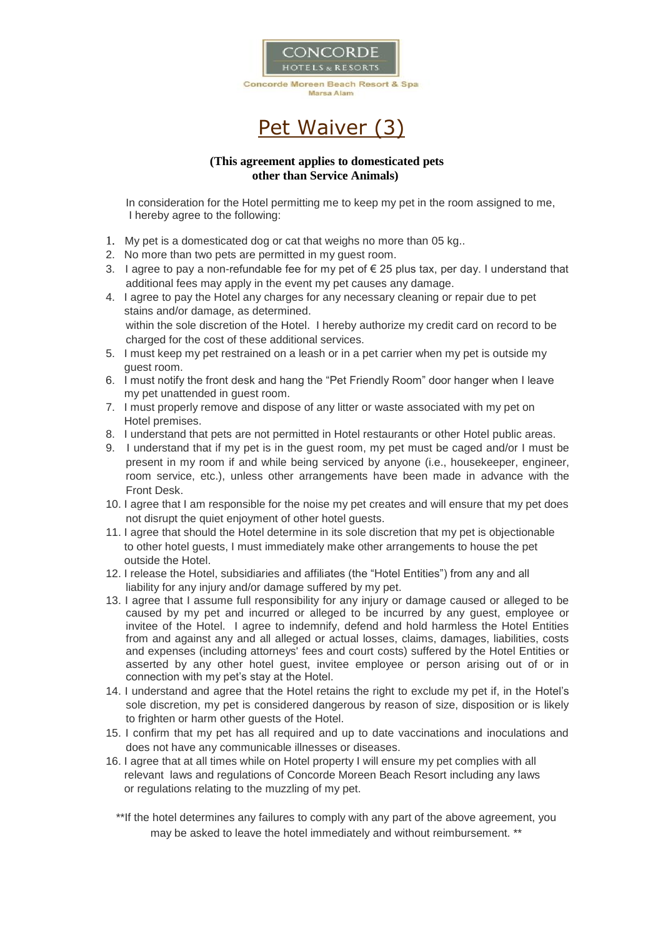



### **(This agreement applies to domesticated pets other than Service Animals)**

In consideration for the Hotel permitting me to keep my pet in the room assigned to me, I hereby agree to the following:

- 1. My pet is a domesticated dog or cat that weighs no more than 05 kg..
- 2. No more than two pets are permitted in my guest room.
- 3. I agree to pay a non-refundable fee for my pet of  $\epsilon$  25 plus tax, per day. I understand that additional fees may apply in the event my pet causes any damage.
- 4. I agree to pay the Hotel any charges for any necessary cleaning or repair due to pet stains and/or damage, as determined. within the sole discretion of the Hotel. I hereby authorize my credit card on record to be charged for the cost of these additional services.
- 5. I must keep my pet restrained on a leash or in a pet carrier when my pet is outside my guest room.
- 6. I must notify the front desk and hang the "Pet Friendly Room" door hanger when I leave my pet unattended in guest room.
- 7. I must properly remove and dispose of any litter or waste associated with my pet on Hotel premises.
- 8. I understand that pets are not permitted in Hotel restaurants or other Hotel public areas.
- 9. I understand that if my pet is in the guest room, my pet must be caged and/or I must be present in my room if and while being serviced by anyone (i.e., housekeeper, engineer, room service, etc.), unless other arrangements have been made in advance with the Front Desk.
- 10. I agree that I am responsible for the noise my pet creates and will ensure that my pet does not disrupt the quiet enjoyment of other hotel guests.
- 11. I agree that should the Hotel determine in its sole discretion that my pet is objectionable to other hotel guests, I must immediately make other arrangements to house the pet outside the Hotel.
- 12. I release the Hotel, subsidiaries and affiliates (the "Hotel Entities") from any and all liability for any injury and/or damage suffered by my pet.
- 13. I agree that I assume full responsibility for any injury or damage caused or alleged to be caused by my pet and incurred or alleged to be incurred by any guest, employee or invitee of the Hotel. I agree to indemnify, defend and hold harmless the Hotel Entities from and against any and all alleged or actual losses, claims, damages, liabilities, costs and expenses (including attorneys' fees and court costs) suffered by the Hotel Entities or asserted by any other hotel guest, invitee employee or person arising out of or in connection with my pet's stay at the Hotel.
- 14. I understand and agree that the Hotel retains the right to exclude my pet if, in the Hotel's sole discretion, my pet is considered dangerous by reason of size, disposition or is likely to frighten or harm other guests of the Hotel.
- 15. I confirm that my pet has all required and up to date vaccinations and inoculations and does not have any communicable illnesses or diseases.
- 16. I agree that at all times while on Hotel property I will ensure my pet complies with all relevant laws and regulations of Concorde Moreen Beach Resort including any laws or regulations relating to the muzzling of my pet.
	- \*\*If the hotel determines any failures to comply with any part of the above agreement, you may be asked to leave the hotel immediately and without reimbursement. \*\*